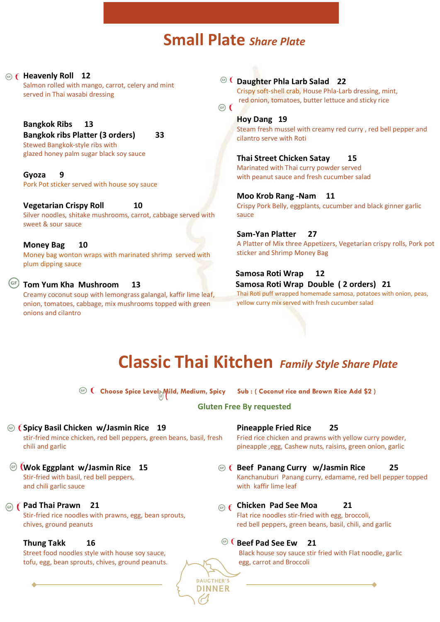# **Small Plate** *Share Plate*

 $\binom{G}{F}$ 

**Heavenly Roll 12** Salmon rolled with mango, carrot, celery and mint served in Thai wasabi dressing

> **Bangkok Ribs 13 Bangkok ribs Platter (3 orders) 33** Stewed Bangkok-style ribs with glazed honey palm sugar black soy sauce

**Gyoza 9** Pork Pot sticker served with house soy sauce

#### **Vegetarian Crispy Roll 10**

Silver noodles, shitake mushrooms, carrot, cabbage served with sweet & sour sauce

**Money Bag 10** Money bag wonton wraps with marinated shrimp served with plum dipping sauce

#### **Tom Yum Kha Mushroom 13**

Creamy coconut soup with lemongrass galangal, kaffir lime leaf, onion, tomatoes, cabbage, mix mushrooms topped with green onions and cilantro

**Daughter Phla Larb Salad 22**

Crispy soft-shell crab, House Phla-Larb dressing, mint, red onion, tomatoes, butter lettuce and sticky rice

#### **Hoy Dang 19**

Steam fresh mussel with creamy red curry , red bell pepper and cilantro serve with Roti

**Thai Street Chicken Satay 15** Marinated with Thai curry powder served with peanut sauce and fresh cucumber salad

**Moo Krob Rang -Nam 11** Crispy Pork Belly, eggplants, cucumber and black ginner garlic sauce

**Sam-Yan Platter 27** A Platter of Mix three Appetizers, Vegetarian crispy rolls, Pork pot sticker and Shrimp Money Bag

 **Samosa Roti Wrap 12 Samosa Roti Wrap Double ( 2 orders) 21** Thai Roti puff wrapped homemade samosa, potatoes with onion, peas, yellow curry mix served with fresh cucumber salad

# **Classic Thai Kitchen** *Family Style Share Plate*

 **Choose Spice Level: Mild, Medium, Spicy Sub : ( Coconut rice and Brown Rice Add \$2 )**

**Gluten Free By requested**

**Spicy Basil Chicken w/Jasmin Rice 19** stir-fried mince chicken, red bell peppers, green beans, basil, fresh chili and garlic

- **Wok Eggplant w/Jasmin Rice 15** Stir-fried with basil, red bell peppers, and chili garlic sauce
- *GF*  $f$  **Pad Thai Prawn** 21 Stir-fried rice noodles with prawns, egg, bean sprouts, chives, ground peanuts

#### **Thung Takk 16**

Street food noodles style with house soy sauce, tofu, egg, bean sprouts, chives, ground peanuts. **Pineapple Fried Rice 25**

Fried rice chicken and prawns with yellow curry powder, pineapple ,egg, Cashew nuts, raisins, green onion, garlic

- **Beef Panang Curry w/Jasmin Rice 25** Kanchanuburi Panang curry, edamame, red bell pepper topped with kaffir lime leaf
- **Chicken Pad See Moa 21** Flat rice noodles stir-fried with egg, broccoli, red bell peppers, green beans, basil, chili, and garlic

#### **CBEEF Pad See Ew 21**

**DAUCTHER'S DINNER**  Black house soy sauce stir fried with Flat noodle, garlic egg, carrot and Broccoli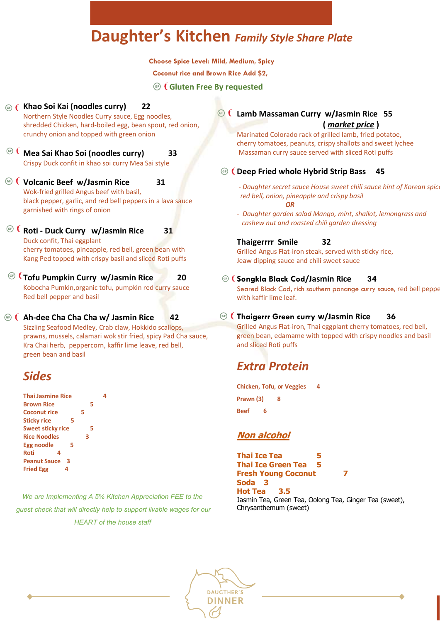# **Daughter's Kitchen** *Family Style Share Plate*

 **Choose Spice Level: Mild, Medium, Spicy**

 **Coconut rice and Brown Rice Add \$2,** 

**Gluten Free By requested**

- **Khao Soi Kai (noodles curry) 22** Northern Style Noodles Curry sauce, Egg noodles, shredded Chicken, hard-boiled egg, bean spout, red onion, crunchy onion and topped with green onion
- **Mea Sai Khao Soi (noodles curry) 33** Crispy Duck confit in khao soi curry Mea Sai style
- **Volcanic Beef w/Jasmin Rice 31** Wok-fried grilled Angus beef with basil, black pepper, garlic, and red bell peppers in a lava sauce garnished with rings of onion
- **Roti - Duck Curry w/Jasmin Rice 31** Duck confit, Thai eggplant cherry tomatoes, pineapple, red bell, green bean with Kang Ped topped with crispy basil and sliced Roti puffs
- **Tofu Pumpkin Curry w/Jasmin Rice 20** Kobocha Pumkin,organic tofu, pumpkin red curry sauce Red bell pepper and basil
- **Ah-dee Cha Cha Cha w/ Jasmin Rice 42** Sizzling Seafood Medley, Crab claw, Hokkido scallops, prawns, mussels, calamari wok stir fried, spicy Pad Cha sauce, Kra Chai herb, peppercorn, kaffir lime leave, red bell, green bean and basil

# *Sides*

| <b>Thai Jasmine Rice</b> |   |  |
|--------------------------|---|--|
| <b>Brown Rice</b>        | 5 |  |
| <b>Coconut rice</b>      | 5 |  |
| <b>Sticky rice</b><br>5  |   |  |
| <b>Sweet sticky rice</b> | 5 |  |
| <b>Rice Noodles</b>      | з |  |
| Egg noodle<br>5          |   |  |
| Roti<br>4                |   |  |
| <b>Peanut Sauce</b><br>з |   |  |
| <b>Fried Egg</b><br>4    |   |  |

*We are Implementing A 5% Kitchen Appreciation FEE to the guest check that will directly help to support livable wages for our HEART of the house staff*

**Lamb Massaman Curry w/Jasmin Rice 55 (** *market price* **)** 

> Marinated Colorado rack of grilled lamb, fried potatoe, cherry tomatoes, peanuts, crispy shallots and sweet lychee Massaman curry sauce served with sliced Roti puffs

#### **Deep Fried whole Hybrid Strip Bass 45**

- *- Daughter secret sauce House sweet chili sauce hint of Korean spice red bell, onion, pineapple and crispy basil OR*
- *Daughter garden salad Mango, mint, shallot, lemongrass and cashew nut and roasted chili garden dressing*

#### **Thaigerrrr Smile 32**

Grilled Angus Flat-iron steak, served with sticky rice, Jeaw dipping sauce and chili sweet sauce

#### **Songkla Black Cod/Jasmin Rice 34**

Seared Black Cod, rich southern panange curry sauce, red bell peppe with kaffir lime leaf.

#### **Thaigerrr Green curry w/Jasmin Rice 36**

Grilled Angus Flat-iron, Thai eggplant cherry tomatoes, red bell, green bean, edamame with topped with crispy noodles and basil and sliced Roti puffs

# *Extra Protein*

**Chicken, Tofu, or Veggies 4 Prawn (3) 8 Beef 6**

#### **Non alcohol**

**Thai Ice Tea 5 Thai Ice Green Tea 5 Fresh Young Coconut 7 Soda 3 Hot Tea 3.5** Jasmin Tea, Green Tea, Oolong Tea, Ginger Tea (sweet), Chrysanthemum (sweet)

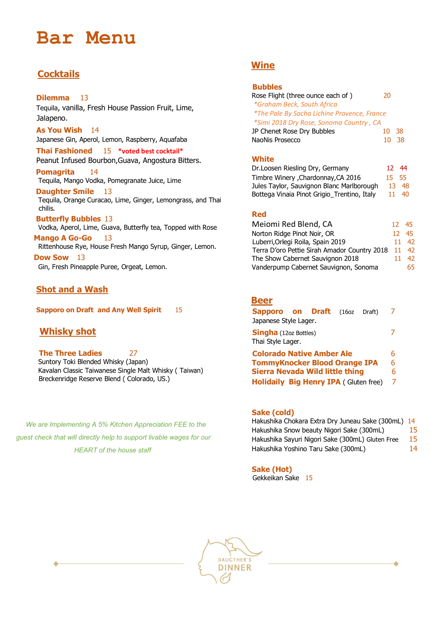# **Bar Menu**

## **Cocktails**

#### **Dilemma** 13

Tequila, vanilla, Fresh House Passion Fruit, Lime, Jalapeno.

**As You Wish** 14 Japanese Gin, Aperol, Lemon, Raspberry, Aquafaba

**Thai Fashioned** 15 **\*voted best cocktail\*** Peanut Infused Bourbon,Guava, Angostura Bitters.

**Pomagrita** 14 Tequila, Mango Vodka, Pomegranate Juice, Lime

**Daughter Smile** 13 Tequila, Orange Curacao, Lime, Ginger, Lemongrass, and Thai chilis.

 **Butterfly Bubbles** 13 Vodka, Aperol, Lime, Guava, Butterfly tea, Topped with Rose

**Mango A Go-Go** 13 Rittenhouse Rye, House Fresh Mango Syrup, Ginger, Lemon.  **Dow Sow** 13

Gin, Fresh Pineapple Puree, Orgeat, Lemon.

#### **Shot and a Wash**

**Sapporo on Draft and Any Well Spirit** 15

### **Whisky shot**

**The Three Ladies** 27 Suntory Toki Blended Whisky (Japan) Kavalan Classic Taiwanese Single Malt Whisky ( Taiwan) Breckenridge Reserve Blend ( Colorado, US.)

 *We are Implementing A 5% Kitchen Appreciation FEE to the guest check that will directly help to support livable wages for our HEART of the house staff*

## **Wine**

#### **Bubbles**

| Rose Flight (three ounce each of)           | 20 |    |
|---------------------------------------------|----|----|
| *Graham Beck, South Africa                  |    |    |
| *The Pale By Sacha Lichine Provence, France |    |    |
| *Simi 2018 Dry Rose, Sonoma Country, CA     |    |    |
| JP Chenet Rose Dry Bubbles                  | 10 | 38 |
| NaoNis Prosecco                             |    |    |

#### **White**

| Dr. Loosen Riesling Dry, Germany            | 12 <sup>7</sup> | -44           |
|---------------------------------------------|-----------------|---------------|
| Timbre Winery , Chardonnay, CA 2016         | 15 55           |               |
| Jules Taylor, Sauvignon Blanc Marlborough   |                 | 13 48         |
| Bottega Vinaia Pinot Grigio_Trentino, Italy |                 | $11 \quad 40$ |

#### **Red**

| Meiomi Red Blend, CA                         | 12 45         |               |
|----------------------------------------------|---------------|---------------|
| Norton Ridge Pinot Noir, OR                  | $12 \quad 45$ |               |
| Luberri, Orlegi Roila, Spain 2019            |               | $11 \quad 42$ |
| Terra D'oro Pettie Sirah Amador Country 2018 | $11 \quad 42$ |               |
| The Show Cabernet Sauvignon 2018             | 11            | 42.           |
| Vanderpump Cabernet Sauvignon, Sonoma        |               | 65            |

#### **Beer**

| <b>Sapporo on Draft</b> (16oz<br>Draft)<br>Japanese Style Lager. |   |
|------------------------------------------------------------------|---|
| <b>Singha</b> (12oz Bottles)<br>Thai Style Lager.                |   |
| <b>Colorado Native Amber Ale</b>                                 | 6 |
| <b>TommyKnocker Blood Orange IPA</b>                             | 6 |
| <b>Sierra Nevada Wild little thing</b>                           | 6 |
| <b>Holidaily Big Henry IPA (Gluten free)</b>                     |   |

#### **Sake (cold)**

| Hakushika Chokara Extra Dry Juneau Sake (300mL) 14 |    |
|----------------------------------------------------|----|
| Hakushika Snow beauty Nigori Sake (300mL)          | 15 |
| Hakushika Sayuri Nigori Sake (300mL) Gluten Free   | 15 |
| Hakushika Yoshino Taru Sake (300mL)                | 14 |

**Sake (Hot)** 

Gekkeikan Sake 15